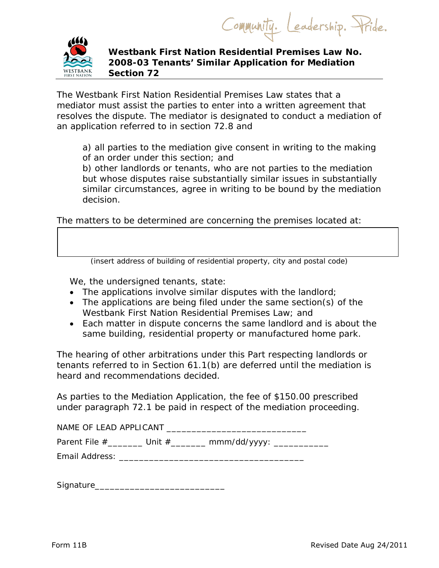Community. Leadership. Pride.



 **Westbank First Nation Residential Premises Law No. 2008-03 Tenants' Similar Application for Mediation Section 72** 

The *Westbank First Nation Residential Premises Law* states that a mediator must assist the parties to enter into a written agreement that resolves the dispute. The mediator is designated to conduct a mediation of an application referred to in section 72.8 and

a) all parties to the mediation give consent in writing to the making of an order under this section; and

b) other landlords or tenants, who are not parties to the mediation but whose disputes raise substantially similar issues in substantially similar circumstances, agree in writing to be bound by the mediation decision.

The matters to be determined are concerning the premises located at:

(insert address of building of residential property, city and postal code)

We, the undersigned tenants, state:

- The applications involve similar disputes with the landlord;
- The applications are being filed under the same section(s) of the *Westbank First Nation Residential Premises Law*; and
- Each matter in dispute concerns the same landlord and is about the same building, residential property or manufactured home park.

The hearing of other arbitrations under this Part respecting landlords or tenants referred to in Section 61.1(b) are deferred until the mediation is heard and recommendations decided.

As parties to the Mediation Application, the fee of \$150.00 prescribed under paragraph 72.1 be paid in respect of the mediation proceeding.

| NAME OF LEAD APPLICANT |          |              |  |
|------------------------|----------|--------------|--|
| Parent File $#$        | Unit $#$ | mmm/dd/yyyy: |  |

Email Address: \_\_\_\_\_\_\_\_\_\_\_\_\_\_\_\_\_\_\_\_\_\_\_\_\_\_\_\_\_\_\_\_\_\_\_\_\_

Signature\_\_\_\_\_\_\_\_\_\_\_\_\_\_\_\_\_\_\_\_\_\_\_\_\_\_